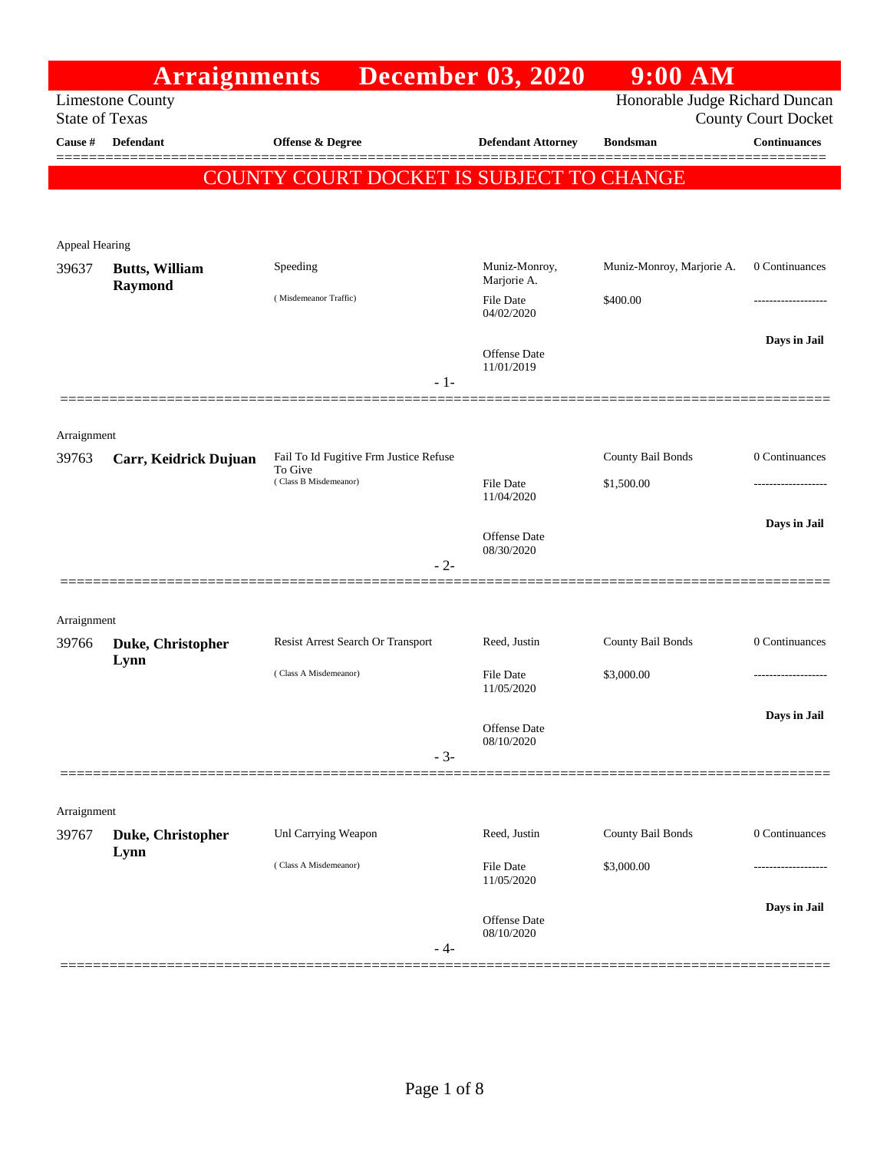|                                  | <b>Arraignments</b>       |                                                   | <b>December 03, 2020</b>          | $9:00$ AM                      |                                                   |
|----------------------------------|---------------------------|---------------------------------------------------|-----------------------------------|--------------------------------|---------------------------------------------------|
|                                  | <b>Limestone County</b>   |                                                   |                                   | Honorable Judge Richard Duncan |                                                   |
| <b>State of Texas</b><br>Cause # | <b>Defendant</b>          | <b>Offense &amp; Degree</b>                       | <b>Defendant Attorney</b>         | <b>Bondsman</b>                | <b>County Court Docket</b><br><b>Continuances</b> |
|                                  |                           |                                                   |                                   |                                |                                                   |
|                                  |                           | COUNTY COURT DOCKET IS SUBJECT TO CHANGE          |                                   |                                |                                                   |
|                                  |                           |                                                   |                                   |                                |                                                   |
| Appeal Hearing                   |                           |                                                   |                                   |                                |                                                   |
| 39637                            | <b>Butts, William</b>     | Speeding                                          | Muniz-Monroy,<br>Marjorie A.      | Muniz-Monroy, Marjorie A.      | 0 Continuances                                    |
|                                  | Raymond                   | (Misdemeanor Traffic)                             | <b>File Date</b><br>04/02/2020    | \$400.00                       | .                                                 |
|                                  |                           | $-1-$                                             | <b>Offense Date</b><br>11/01/2019 |                                | Days in Jail                                      |
|                                  |                           |                                                   |                                   |                                |                                                   |
| Arraignment<br>39763             | Carr, Keidrick Dujuan     | Fail To Id Fugitive Frm Justice Refuse<br>To Give |                                   | County Bail Bonds              | 0 Continuances                                    |
|                                  |                           | (Class B Misdemeanor)                             | File Date<br>11/04/2020           | \$1,500.00                     |                                                   |
|                                  |                           | $-2-$                                             | <b>Offense Date</b><br>08/30/2020 |                                | Days in Jail                                      |
| Arraignment                      |                           |                                                   |                                   |                                |                                                   |
| 39766                            | Duke, Christopher         | Resist Arrest Search Or Transport                 | Reed, Justin                      | County Bail Bonds              | 0 Continuances                                    |
|                                  | Lynn                      | (Class A Misdemeanor)                             | <b>File Date</b><br>11/05/2020    | \$3,000.00                     | .                                                 |
|                                  |                           | $-3-$                                             | Offense Date<br>08/10/2020        |                                | Days in Jail                                      |
|                                  |                           |                                                   |                                   |                                |                                                   |
| Arraignment                      |                           |                                                   |                                   |                                |                                                   |
| 39767                            | Duke, Christopher<br>Lynn | Unl Carrying Weapon                               | Reed, Justin                      | County Bail Bonds              | 0 Continuances                                    |
|                                  |                           | (Class A Misdemeanor)                             | File Date<br>11/05/2020           | \$3,000.00                     |                                                   |
|                                  |                           | $-4-$                                             | <b>Offense Date</b><br>08/10/2020 |                                | Days in Jail                                      |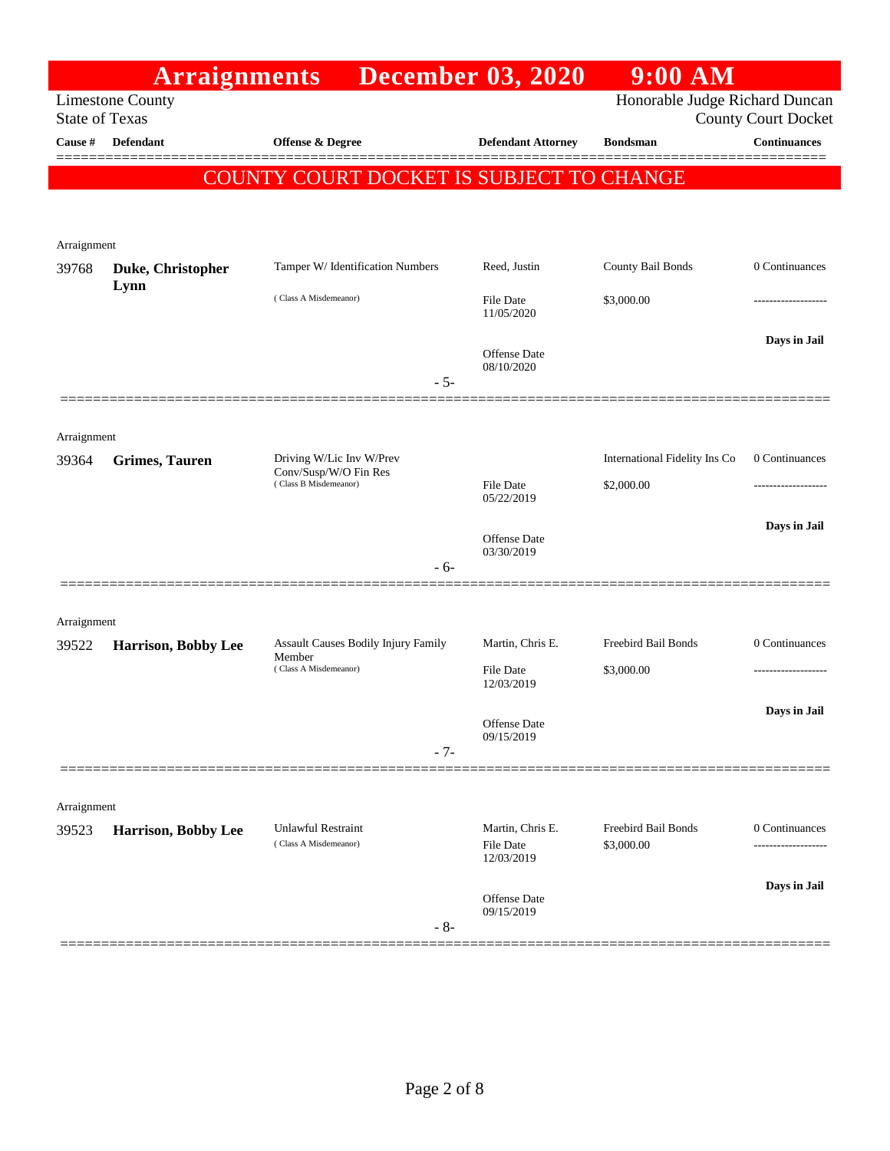|                       | <b>Arraignments</b>     |                                                                            | <b>December 03, 2020</b>                           | $9:00$ AM                                                    |                     |
|-----------------------|-------------------------|----------------------------------------------------------------------------|----------------------------------------------------|--------------------------------------------------------------|---------------------|
| <b>State of Texas</b> | <b>Limestone County</b> |                                                                            |                                                    | Honorable Judge Richard Duncan<br><b>County Court Docket</b> |                     |
| Cause #               | <b>Defendant</b>        | Offense & Degree                                                           | <b>Defendant Attorney</b>                          | <b>Bondsman</b>                                              | <b>Continuances</b> |
|                       |                         | <b>COUNTY COURT DOCKET IS SUBJECT TO CHANGE</b>                            |                                                    |                                                              | ======              |
|                       |                         |                                                                            |                                                    |                                                              |                     |
|                       |                         |                                                                            |                                                    |                                                              |                     |
| Arraignment<br>39768  | Duke, Christopher       | Tamper W/ Identification Numbers                                           | Reed, Justin                                       | County Bail Bonds                                            | 0 Continuances      |
|                       | Lynn                    | (Class A Misdemeanor)                                                      | <b>File Date</b><br>11/05/2020                     | \$3,000.00                                                   |                     |
|                       |                         | $-5-$                                                                      | <b>Offense</b> Date<br>08/10/2020                  |                                                              | Days in Jail        |
|                       |                         |                                                                            |                                                    |                                                              |                     |
| Arraignment<br>39364  | <b>Grimes, Tauren</b>   | Driving W/Lic Inv W/Prev<br>Conv/Susp/W/O Fin Res<br>(Class B Misdemeanor) | File Date<br>05/22/2019                            | International Fidelity Ins Co<br>\$2,000.00                  | 0 Continuances      |
|                       |                         | - 6-                                                                       | <b>Offense</b> Date<br>03/30/2019                  |                                                              | Days in Jail        |
|                       |                         |                                                                            |                                                    |                                                              |                     |
| Arraignment           |                         |                                                                            |                                                    | Freebird Bail Bonds                                          |                     |
| 39522                 | Harrison, Bobby Lee     | Assault Causes Bodily Injury Family<br>Member<br>(Class A Misdemeanor)     | Martin, Chris E.<br><b>File Date</b><br>12/03/2019 | \$3,000.00                                                   | 0 Continuances      |
|                       |                         | $-7-$                                                                      | Offense Date<br>09/15/2019                         |                                                              | Days in Jail        |
|                       |                         |                                                                            |                                                    |                                                              |                     |
| Arraignment           |                         |                                                                            |                                                    |                                                              |                     |
| 39523                 | Harrison, Bobby Lee     | <b>Unlawful Restraint</b><br>(Class A Misdemeanor)                         | Martin, Chris E.<br>File Date<br>12/03/2019        | Freebird Bail Bonds<br>\$3,000.00                            | 0 Continuances      |
|                       |                         | $-8-$                                                                      | Offense Date<br>09/15/2019                         |                                                              | Days in Jail        |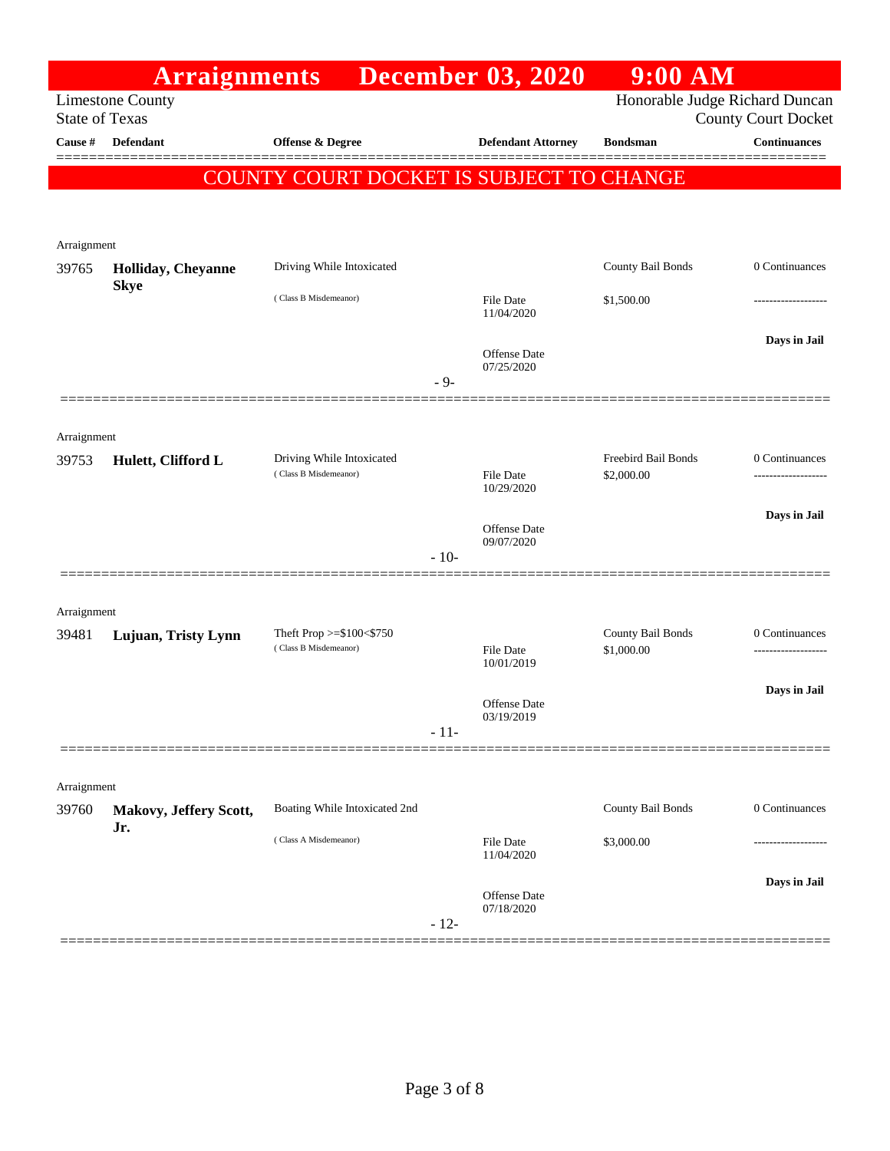|             | <b>Arraignments</b>                              |                                          |        | <b>December 03, 2020</b>          | $9:00$ AM           |                                                              |  |
|-------------|--------------------------------------------------|------------------------------------------|--------|-----------------------------------|---------------------|--------------------------------------------------------------|--|
|             | <b>Limestone County</b><br><b>State of Texas</b> |                                          |        |                                   |                     | Honorable Judge Richard Duncan<br><b>County Court Docket</b> |  |
| Cause #     | Defendant                                        | Offense & Degree                         |        | <b>Defendant Attorney</b>         | <b>Bondsman</b>     | <b>Continuances</b>                                          |  |
|             |                                                  | <b>COUNTY COURT DOCKET IS SUBJECT TO</b> |        |                                   | <b>CHANGE</b>       | =======                                                      |  |
|             |                                                  |                                          |        |                                   |                     |                                                              |  |
|             |                                                  |                                          |        |                                   |                     |                                                              |  |
| Arraignment |                                                  |                                          |        |                                   |                     |                                                              |  |
| 39765       | Holliday, Cheyanne<br><b>Skye</b>                | Driving While Intoxicated                |        |                                   | County Bail Bonds   | 0 Continuances                                               |  |
|             |                                                  | (Class B Misdemeanor)                    |        | File Date<br>11/04/2020           | \$1,500.00          |                                                              |  |
|             |                                                  |                                          |        |                                   |                     | Days in Jail                                                 |  |
|             |                                                  |                                          |        | <b>Offense</b> Date<br>07/25/2020 |                     |                                                              |  |
|             |                                                  |                                          | $-9-$  |                                   |                     |                                                              |  |
| Arraignment |                                                  |                                          |        |                                   |                     |                                                              |  |
| 39753       | Hulett, Clifford L                               | Driving While Intoxicated                |        |                                   | Freebird Bail Bonds | 0 Continuances                                               |  |
|             |                                                  | (Class B Misdemeanor)                    |        | <b>File Date</b><br>10/29/2020    | \$2,000.00          | ------------------                                           |  |
|             |                                                  |                                          |        | <b>Offense</b> Date               |                     | Days in Jail                                                 |  |
|             |                                                  |                                          | $-10-$ | 09/07/2020                        |                     |                                                              |  |
|             |                                                  |                                          |        |                                   |                     |                                                              |  |
| Arraignment |                                                  |                                          |        |                                   |                     |                                                              |  |
| 39481       | Lujuan, Tristy Lynn                              | Theft Prop $>=$ \$100 $<$ \$750          |        |                                   | County Bail Bonds   | 0 Continuances                                               |  |
|             |                                                  | (Class B Misdemeanor)                    |        | <b>File Date</b><br>10/01/2019    | \$1,000.00          |                                                              |  |
|             |                                                  |                                          |        | <b>Offense</b> Date               |                     | Days in Jail                                                 |  |
|             |                                                  |                                          | $-11-$ | 03/19/2019                        |                     |                                                              |  |
|             |                                                  |                                          |        |                                   |                     |                                                              |  |
| Arraignment |                                                  |                                          |        |                                   |                     |                                                              |  |
| 39760       | Makovy, Jeffery Scott,                           | Boating While Intoxicated 2nd            |        |                                   | County Bail Bonds   | 0 Continuances                                               |  |
|             | Jr.                                              | (Class A Misdemeanor)                    |        | <b>File Date</b>                  | \$3,000.00          |                                                              |  |
|             |                                                  |                                          |        | 11/04/2020                        |                     |                                                              |  |
|             |                                                  |                                          |        | Offense Date<br>07/18/2020        |                     | Days in Jail                                                 |  |
|             |                                                  |                                          | $-12-$ |                                   |                     |                                                              |  |
|             |                                                  |                                          |        |                                   |                     |                                                              |  |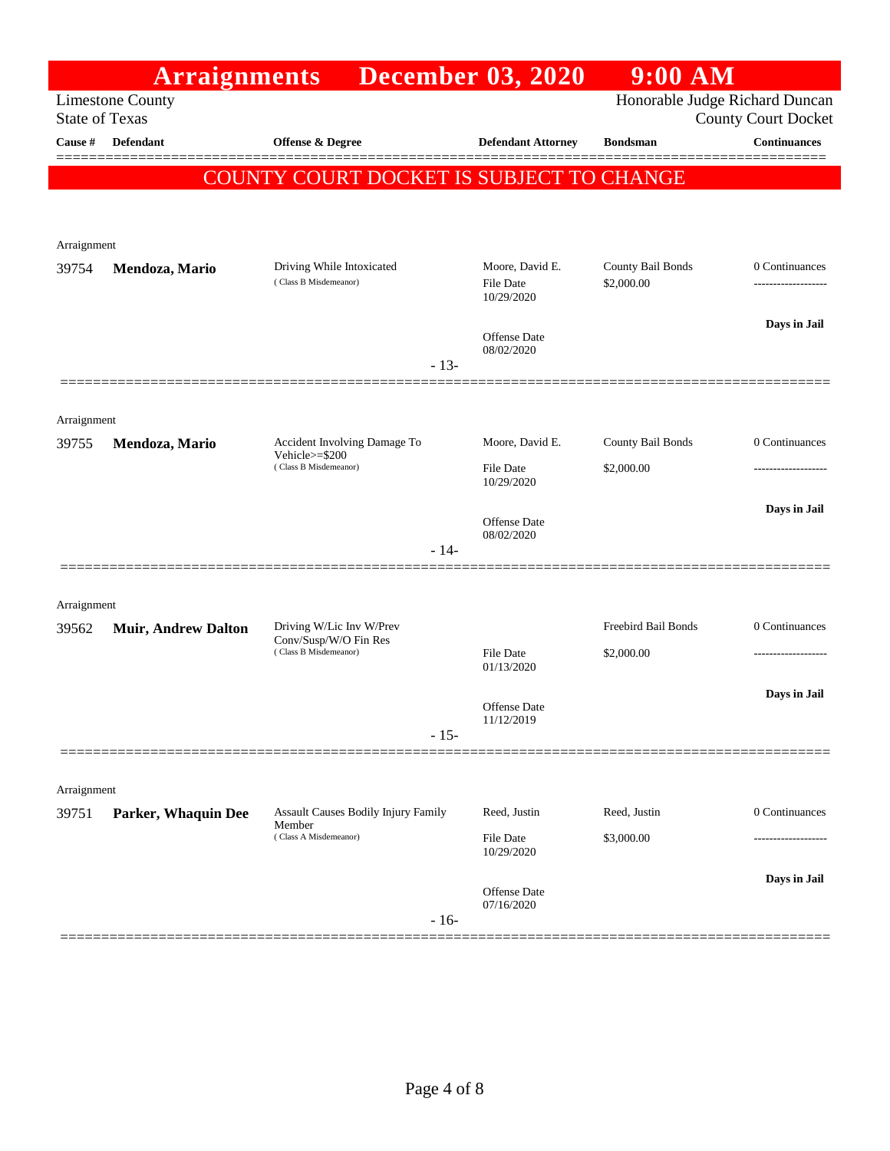|             | <b>Arraignments</b>                                                                                              |                                                      | <b>December 03, 2020</b>                   | $9:00$ AM                       |                     |  |
|-------------|------------------------------------------------------------------------------------------------------------------|------------------------------------------------------|--------------------------------------------|---------------------------------|---------------------|--|
|             | Honorable Judge Richard Duncan<br><b>Limestone County</b><br><b>State of Texas</b><br><b>County Court Docket</b> |                                                      |                                            |                                 |                     |  |
| Cause #     | <b>Defendant</b>                                                                                                 | <b>Offense &amp; Degree</b>                          | <b>Defendant Attorney</b>                  | <b>Bondsman</b>                 | <b>Continuances</b> |  |
|             |                                                                                                                  |                                                      |                                            |                                 |                     |  |
|             |                                                                                                                  | COUNTY COURT DOCKET IS SUBJECT TO CHANGE             |                                            |                                 |                     |  |
|             |                                                                                                                  |                                                      |                                            |                                 |                     |  |
| Arraignment |                                                                                                                  |                                                      |                                            |                                 |                     |  |
| 39754       | Mendoza, Mario                                                                                                   | Driving While Intoxicated<br>(Class B Misdemeanor)   | Moore, David E.<br>File Date<br>10/29/2020 | County Bail Bonds<br>\$2,000.00 | 0 Continuances<br>  |  |
|             |                                                                                                                  |                                                      |                                            |                                 | Days in Jail        |  |
|             |                                                                                                                  |                                                      | Offense Date<br>08/02/2020                 |                                 |                     |  |
|             |                                                                                                                  | $-13-$                                               |                                            |                                 |                     |  |
| Arraignment |                                                                                                                  |                                                      |                                            |                                 |                     |  |
| 39755       | Mendoza, Mario                                                                                                   | Accident Involving Damage To                         | Moore, David E.                            | County Bail Bonds               | 0 Continuances      |  |
|             |                                                                                                                  | Vehicle>=\$200<br>(Class B Misdemeanor)              | <b>File Date</b>                           | \$2,000.00                      |                     |  |
|             |                                                                                                                  |                                                      | 10/29/2020                                 |                                 | Days in Jail        |  |
|             |                                                                                                                  |                                                      | Offense Date<br>08/02/2020                 |                                 |                     |  |
|             |                                                                                                                  | $-14-$                                               |                                            |                                 |                     |  |
|             |                                                                                                                  |                                                      |                                            |                                 |                     |  |
| Arraignment |                                                                                                                  | Driving W/Lic Inv W/Prev                             |                                            | Freebird Bail Bonds             | 0 Continuances      |  |
| 39562       | <b>Muir, Andrew Dalton</b>                                                                                       | Conv/Susp/W/O Fin Res<br>(Class B Misdemeanor)       | <b>File Date</b>                           | \$2,000.00                      | .                   |  |
|             |                                                                                                                  |                                                      | 01/13/2020                                 |                                 |                     |  |
|             |                                                                                                                  |                                                      | <b>Offense Date</b>                        |                                 | Days in Jail        |  |
|             |                                                                                                                  | $-15-$                                               | 11/12/2019                                 |                                 |                     |  |
|             |                                                                                                                  |                                                      |                                            |                                 |                     |  |
| Arraignment |                                                                                                                  |                                                      |                                            |                                 |                     |  |
| 39751       | <b>Parker, Whaquin Dee</b>                                                                                       | <b>Assault Causes Bodily Injury Family</b><br>Member | Reed, Justin                               | Reed, Justin                    | 0 Continuances      |  |
|             |                                                                                                                  | (Class A Misdemeanor)                                | <b>File Date</b><br>10/29/2020             | \$3,000.00                      |                     |  |
|             |                                                                                                                  |                                                      |                                            |                                 | Days in Jail        |  |
|             |                                                                                                                  |                                                      | Offense Date<br>07/16/2020                 |                                 |                     |  |
|             |                                                                                                                  | $-16-$                                               |                                            |                                 |                     |  |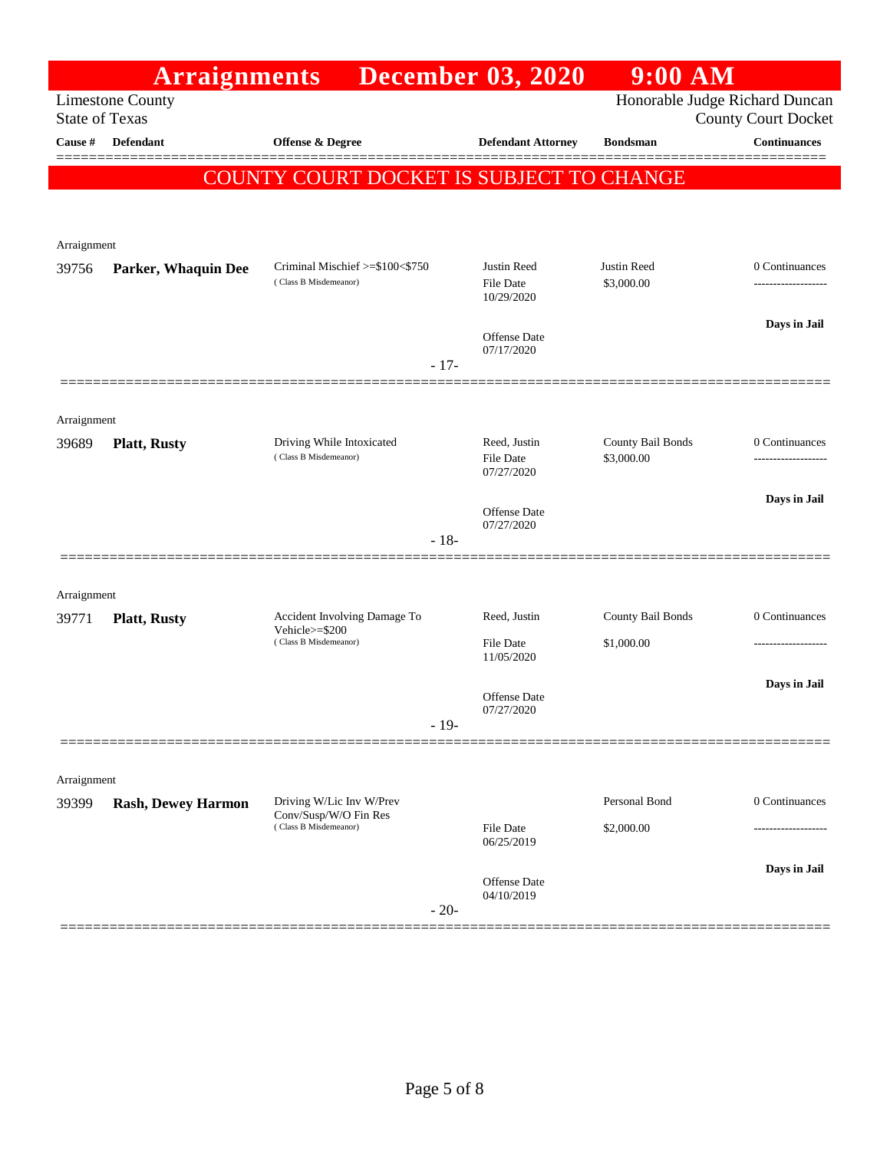|                      | <b>Arraignments</b>                                                                                              |                                                          | <b>December 03, 2020</b>               | 9:00 AM                         |                                     |  |  |
|----------------------|------------------------------------------------------------------------------------------------------------------|----------------------------------------------------------|----------------------------------------|---------------------------------|-------------------------------------|--|--|
|                      | Honorable Judge Richard Duncan<br><b>Limestone County</b><br><b>State of Texas</b><br><b>County Court Docket</b> |                                                          |                                        |                                 |                                     |  |  |
| Cause #              | <b>Defendant</b>                                                                                                 | Offense & Degree                                         | <b>Defendant Attorney</b>              | <b>Bondsman</b>                 | <b>Continuances</b>                 |  |  |
|                      |                                                                                                                  |                                                          |                                        |                                 | ======                              |  |  |
|                      |                                                                                                                  | COUNTY COURT DOCKET IS SUBJECT TO CHANGE                 |                                        |                                 |                                     |  |  |
|                      |                                                                                                                  |                                                          |                                        |                                 |                                     |  |  |
| Arraignment          |                                                                                                                  |                                                          |                                        |                                 |                                     |  |  |
| 39756                | Parker, Whaquin Dee                                                                                              | Criminal Mischief >=\$100<\$750<br>(Class B Misdemeanor) | Justin Reed<br>File Date<br>10/29/2020 | Justin Reed<br>\$3,000.00       | 0 Continuances                      |  |  |
|                      |                                                                                                                  |                                                          | <b>Offense Date</b><br>07/17/2020      |                                 | Days in Jail                        |  |  |
|                      |                                                                                                                  | $-17-$                                                   |                                        |                                 |                                     |  |  |
|                      |                                                                                                                  |                                                          |                                        |                                 |                                     |  |  |
| Arraignment<br>39689 | <b>Platt, Rusty</b>                                                                                              | Driving While Intoxicated<br>(Class B Misdemeanor)       | Reed, Justin<br><b>File Date</b>       | County Bail Bonds<br>\$3,000.00 | 0 Continuances<br>----------------- |  |  |
|                      |                                                                                                                  |                                                          | 07/27/2020                             |                                 |                                     |  |  |
|                      |                                                                                                                  | $-18-$                                                   | <b>Offense Date</b><br>07/27/2020      |                                 | Days in Jail                        |  |  |
|                      |                                                                                                                  |                                                          |                                        |                                 |                                     |  |  |
| Arraignment          |                                                                                                                  |                                                          |                                        |                                 |                                     |  |  |
| 39771                | <b>Platt, Rusty</b>                                                                                              | Accident Involving Damage To<br>Vehicle>=\$200           | Reed, Justin                           | County Bail Bonds               | 0 Continuances                      |  |  |
|                      |                                                                                                                  | (Class B Misdemeanor)                                    | File Date<br>11/05/2020                | \$1,000.00                      |                                     |  |  |
|                      |                                                                                                                  |                                                          | Offense Date<br>07/27/2020             |                                 | Days in Jail                        |  |  |
|                      |                                                                                                                  | $-19-$                                                   |                                        |                                 |                                     |  |  |
|                      |                                                                                                                  |                                                          |                                        |                                 |                                     |  |  |
| Arraignment<br>39399 | <b>Rash, Dewey Harmon</b>                                                                                        | Driving W/Lic Inv W/Prev                                 |                                        | Personal Bond                   | 0 Continuances                      |  |  |
|                      |                                                                                                                  | Conv/Susp/W/O Fin Res<br>(Class B Misdemeanor)           | <b>File Date</b><br>06/25/2019         | \$2,000.00                      |                                     |  |  |
|                      |                                                                                                                  |                                                          |                                        |                                 | Days in Jail                        |  |  |
|                      |                                                                                                                  | $-20-$                                                   | Offense Date<br>04/10/2019             |                                 |                                     |  |  |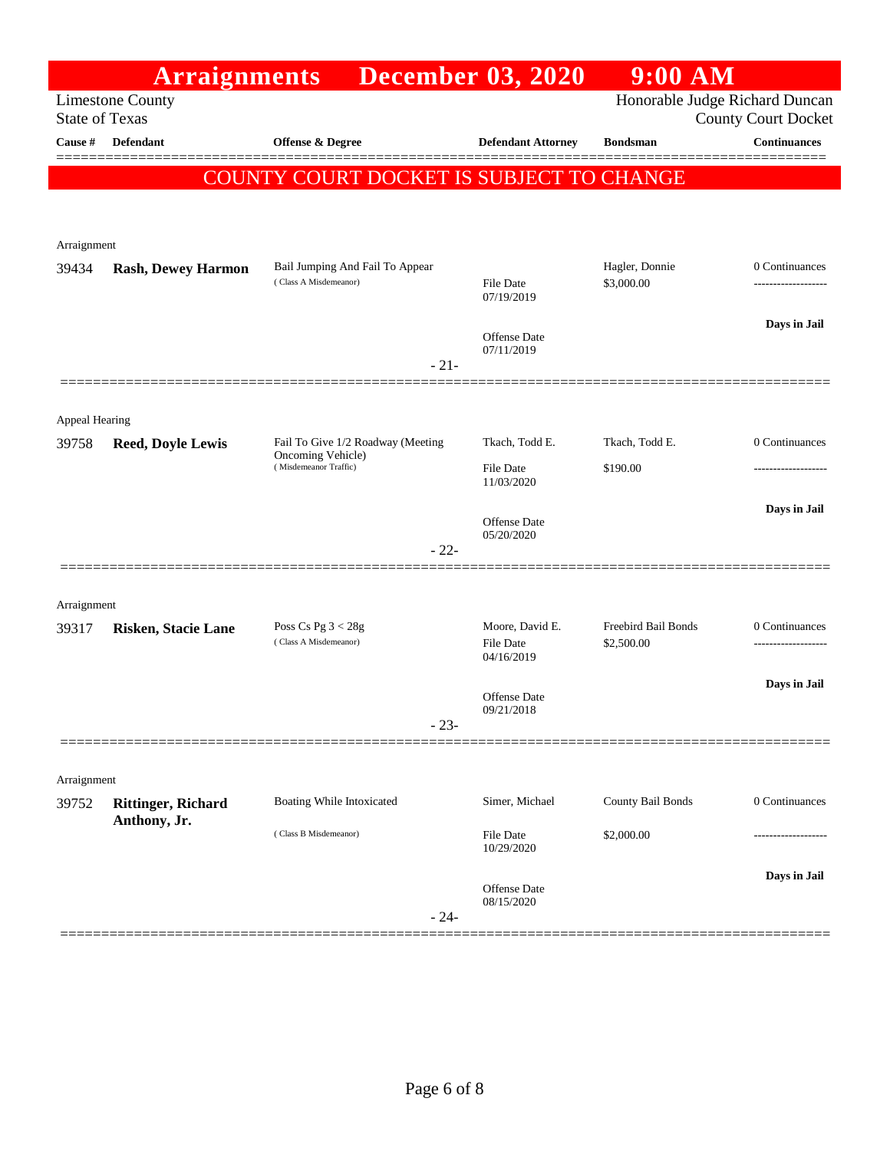| <b>December 03, 2020</b><br><b>Arraignments</b><br><b>Limestone County</b><br><b>State of Texas</b><br>Cause #<br>Defendant<br>Offense & Degree<br><b>Defendant Attorney</b><br>COUNTY COURT DOCKET IS SUBJECT TO CHANGE<br>Arraignment | Honorable Judge Richard Duncan<br><b>County Court Docket</b><br><b>Continuances</b><br><b>Bondsman</b><br>Hagler, Donnie<br>0 Continuances |
|-----------------------------------------------------------------------------------------------------------------------------------------------------------------------------------------------------------------------------------------|--------------------------------------------------------------------------------------------------------------------------------------------|
|                                                                                                                                                                                                                                         |                                                                                                                                            |
|                                                                                                                                                                                                                                         |                                                                                                                                            |
|                                                                                                                                                                                                                                         |                                                                                                                                            |
|                                                                                                                                                                                                                                         |                                                                                                                                            |
|                                                                                                                                                                                                                                         |                                                                                                                                            |
|                                                                                                                                                                                                                                         |                                                                                                                                            |
| Bail Jumping And Fail To Appear<br>39434<br><b>Rash, Dewey Harmon</b>                                                                                                                                                                   |                                                                                                                                            |
| (Class A Misdemeanor)<br>File Date<br>07/19/2019                                                                                                                                                                                        | \$3,000.00                                                                                                                                 |
| Offense Date                                                                                                                                                                                                                            | Days in Jail                                                                                                                               |
| 07/11/2019                                                                                                                                                                                                                              |                                                                                                                                            |
| $-21-$                                                                                                                                                                                                                                  |                                                                                                                                            |
|                                                                                                                                                                                                                                         |                                                                                                                                            |
| Appeal Hearing<br>Fail To Give 1/2 Roadway (Meeting<br>Tkach, Todd E.<br>39758<br><b>Reed, Doyle Lewis</b>                                                                                                                              | 0 Continuances<br>Tkach, Todd E.                                                                                                           |
| Oncoming Vehicle)<br>(Misdemeanor Traffic)<br><b>File Date</b>                                                                                                                                                                          | \$190.00                                                                                                                                   |
| 11/03/2020                                                                                                                                                                                                                              |                                                                                                                                            |
| Offense Date                                                                                                                                                                                                                            | Days in Jail                                                                                                                               |
| 05/20/2020<br>$-22-$                                                                                                                                                                                                                    |                                                                                                                                            |
|                                                                                                                                                                                                                                         |                                                                                                                                            |
| Arraignment                                                                                                                                                                                                                             |                                                                                                                                            |
| Poss Cs Pg $3 < 28g$<br>Moore, David E.<br>39317<br><b>Risken, Stacie Lane</b>                                                                                                                                                          | Freebird Bail Bonds<br>0 Continuances                                                                                                      |
| (Class A Misdemeanor)<br><b>File Date</b><br>04/16/2019                                                                                                                                                                                 | \$2,500.00                                                                                                                                 |
|                                                                                                                                                                                                                                         | Days in Jail                                                                                                                               |
| <b>Offense Date</b><br>09/21/2018                                                                                                                                                                                                       |                                                                                                                                            |
| $-23-$                                                                                                                                                                                                                                  |                                                                                                                                            |
|                                                                                                                                                                                                                                         |                                                                                                                                            |
| Arraignment                                                                                                                                                                                                                             |                                                                                                                                            |
| Simer, Michael<br>Boating While Intoxicated<br>39752<br><b>Rittinger, Richard</b><br>Anthony, Jr.                                                                                                                                       | County Bail Bonds<br>0 Continuances                                                                                                        |
| (Class B Misdemeanor)<br>File Date<br>10/29/2020                                                                                                                                                                                        | \$2,000.00                                                                                                                                 |
|                                                                                                                                                                                                                                         | Days in Jail                                                                                                                               |
| Offense Date<br>08/15/2020<br>$-24-$                                                                                                                                                                                                    |                                                                                                                                            |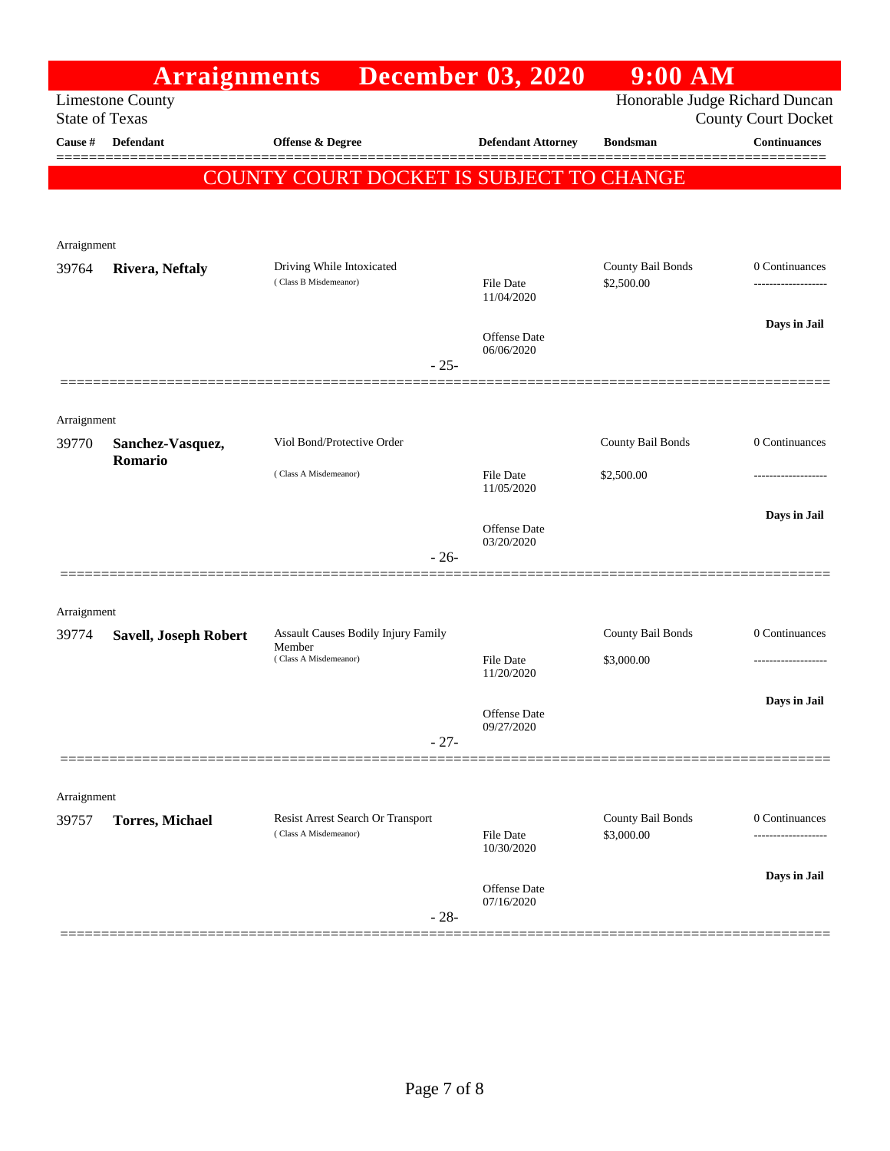|                                                                                                                  | <b>Arraignments</b>          |                                                            | <b>December 03, 2020</b>       | $9:00$ AM                       |                     |  |
|------------------------------------------------------------------------------------------------------------------|------------------------------|------------------------------------------------------------|--------------------------------|---------------------------------|---------------------|--|
| Honorable Judge Richard Duncan<br><b>Limestone County</b><br><b>County Court Docket</b><br><b>State of Texas</b> |                              |                                                            |                                |                                 |                     |  |
| Cause #                                                                                                          | Defendant                    | <b>Offense &amp; Degree</b>                                | <b>Defendant Attorney</b>      | <b>Bondsman</b>                 | <b>Continuances</b> |  |
|                                                                                                                  |                              | COUNTY COURT DOCKET IS SUBJECT TO CHANGE                   |                                |                                 |                     |  |
|                                                                                                                  |                              |                                                            |                                |                                 |                     |  |
|                                                                                                                  |                              |                                                            |                                |                                 |                     |  |
| Arraignment                                                                                                      |                              |                                                            |                                |                                 |                     |  |
| 39764                                                                                                            | Rivera, Neftaly              | Driving While Intoxicated<br>(Class B Misdemeanor)         | File Date<br>11/04/2020        | County Bail Bonds<br>\$2,500.00 | 0 Continuances<br>  |  |
|                                                                                                                  |                              |                                                            |                                |                                 | Days in Jail        |  |
|                                                                                                                  |                              | $-25-$                                                     | Offense Date<br>06/06/2020     |                                 |                     |  |
|                                                                                                                  |                              |                                                            |                                |                                 |                     |  |
| Arraignment                                                                                                      |                              |                                                            |                                |                                 |                     |  |
| 39770                                                                                                            | Sanchez-Vasquez,<br>Romario  | Viol Bond/Protective Order                                 |                                | County Bail Bonds               | 0 Continuances      |  |
|                                                                                                                  |                              | (Class A Misdemeanor)                                      | <b>File Date</b><br>11/05/2020 | \$2,500.00                      |                     |  |
|                                                                                                                  |                              |                                                            | Offense Date<br>03/20/2020     |                                 | Days in Jail        |  |
|                                                                                                                  |                              | $-26-$                                                     |                                |                                 |                     |  |
|                                                                                                                  |                              |                                                            |                                |                                 |                     |  |
| Arraignment<br>39774                                                                                             | <b>Savell, Joseph Robert</b> | Assault Causes Bodily Injury Family                        |                                | County Bail Bonds               | 0 Continuances      |  |
|                                                                                                                  |                              | Member<br>(Class A Misdemeanor)                            | <b>File Date</b><br>11/20/2020 | \$3,000.00                      |                     |  |
|                                                                                                                  |                              |                                                            |                                |                                 | Days in Jail        |  |
|                                                                                                                  |                              |                                                            | Offense Date<br>09/27/2020     |                                 |                     |  |
|                                                                                                                  |                              | $-27-$                                                     |                                |                                 |                     |  |
| Arraignment                                                                                                      |                              |                                                            |                                |                                 |                     |  |
| 39757                                                                                                            | <b>Torres, Michael</b>       | Resist Arrest Search Or Transport<br>(Class A Misdemeanor) | File Date                      | County Bail Bonds<br>\$3,000.00 | 0 Continuances<br>  |  |
|                                                                                                                  |                              |                                                            | 10/30/2020                     |                                 |                     |  |
|                                                                                                                  |                              |                                                            | Offense Date                   |                                 | Days in Jail        |  |
|                                                                                                                  |                              | $-28-$                                                     | 07/16/2020                     |                                 |                     |  |
|                                                                                                                  |                              |                                                            |                                |                                 |                     |  |